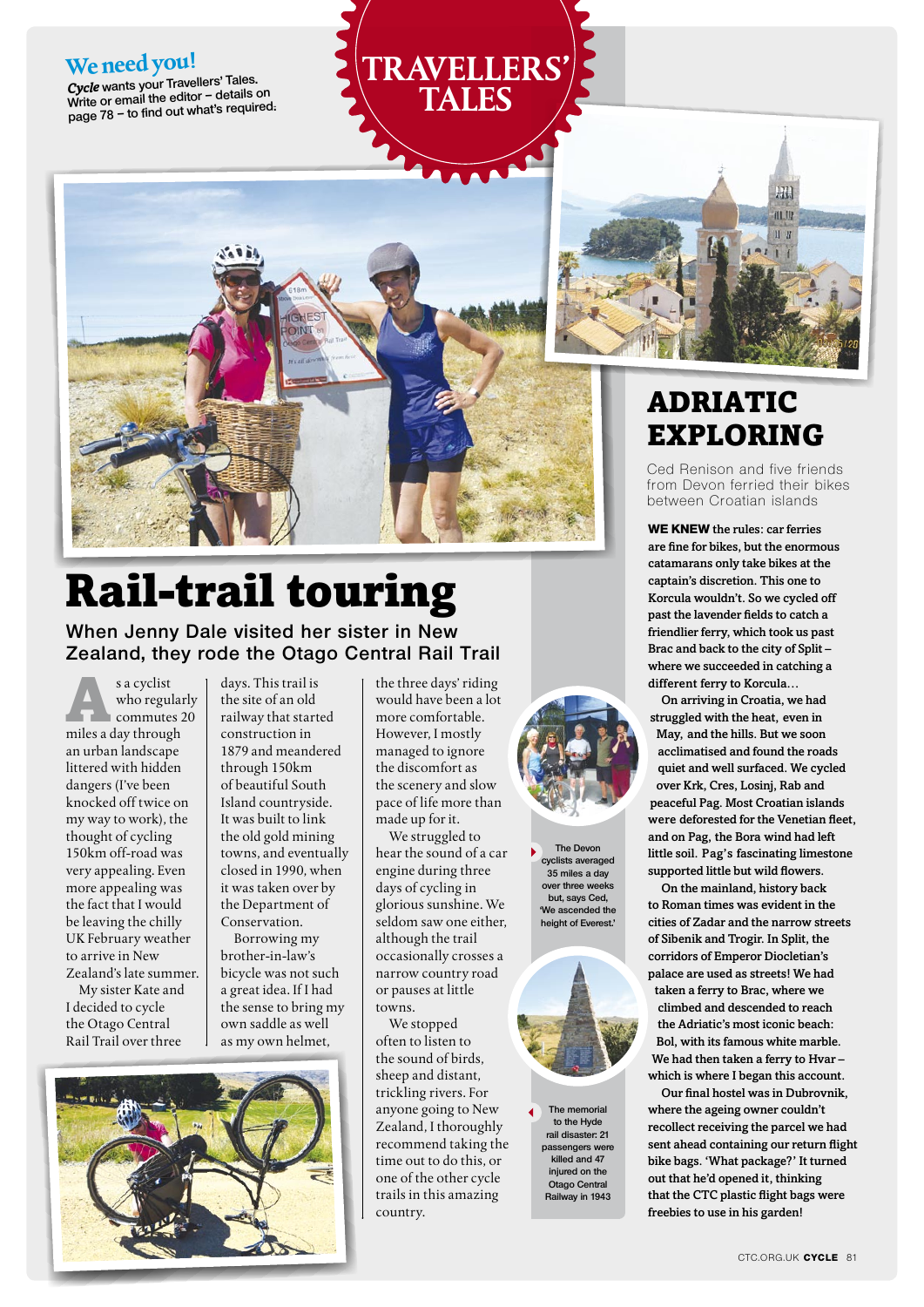#### **We need you!**

*Cycle* **wants your Travellers' Tales. Write or email the editor – details on page 78 – to find out what's required.**





# Rail-trail touring

**When Jenny Dale visited her sister in New Zealand, they rode the Otago Central Rail Trail**

s a cyclist<br>
who regular<br>
commutes 2<br>
miles a day through who regularly commutes 20 an urban landscape littered with hidden dangers (I've been knocked off twice on my way to work), the thought of cycling 150km off-road was very appealing. Even more appealing was the fact that I would be leaving the chilly UK February weather to arrive in New Zealand's late summer.

My sister Kate and I decided to cycle the Otago Central Rail Trail over three

days. This trail is the site of an old railway that started construction in 1879 and meandered through 150km of beautiful South Island countryside. It was built to link the old gold mining towns, and eventually closed in 1990, when it was taken over by the Department of Conservation.

Borrowing my brother-in-law's bicycle was not such a great idea. If I had the sense to bring my own saddle as well as my own helmet,

the three days' riding would have been a lot more comfortable. However, I mostly managed to ignore the discomfort as the scenery and slow pace of life more than made up for it.

**Travellers' tales**

We struggled to hear the sound of a car engine during three days of cycling in glorious sunshine. We seldom saw one either, although the trail occasionally crosses a narrow country road or pauses at little towns.

We stopped often to listen to the sound of birds, sheep and distant, trickling rivers. For anyone going to New Zealand, I thoroughly recommend taking the time out to do this, or one of the other cycle trails in this amazing country.



**The Devon cyclists averaged 35 miles a day over three weeks but, says Ced, 'We ascended the height of Everest.'**



**The memorial to the Hyde rail disaster: 21 passengers were killed and 47 injured on the Otago Central Railway in 1943**

## **ADRIATIC** exploring

Ced Renison and five friends from Devon ferried their bikes between Croatian islands

**We knew** the rules: car ferries are fine for bikes, but the enormous catamarans only take bikes at the captain's discretion. This one to Korcula wouldn't. So we cycled off past the lavender fields to catch a friendlier ferry, which took us past Brac and back to the city of Split – where we succeeded in catching a different ferry to Korcula…

On arriving in Croatia, we had struggled with the heat, even in May, and the hills. But we soon acclimatised and found the roads quiet and well surfaced. We cycled over Krk, Cres, Losinj, Rab and peaceful Pag. Most Croatian islands were deforested for the Venetian fleet, and on Pag, the Bora wind had left little soil. Pag's fascinating limestone supported little but wild flowers.

On the mainland, history back to Roman times was evident in the cities of Zadar and the narrow streets of Sibenik and Trogir. In Split, the corridors of Emperor Diocletian's palace are used as streets! We had taken a ferry to Brac, where we climbed and descended to reach the Adriatic's most iconic beach: Bol, with its famous white marble. We had then taken a ferry to Hvar – which is where I began this account.

Our final hostel was in Dubrovnik, where the ageing owner couldn't recollect receiving the parcel we had sent ahead containing our return flight bike bags. 'What package?' It turned out that he'd opened it, thinking that the CTC plastic flight bags were freebies to use in his garden!